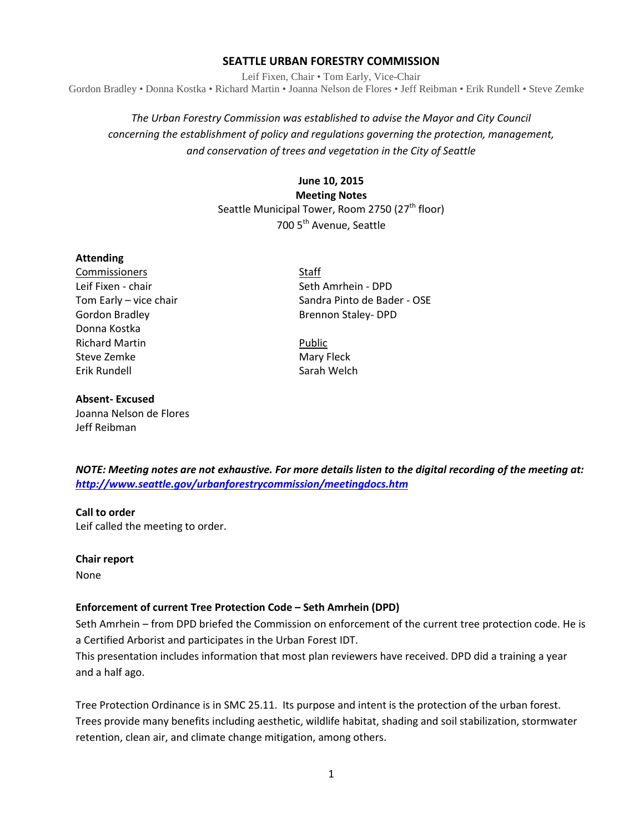#### **SEATTLE URBAN FORESTRY COMMISSION**

Leif Fixen, Chair • Tom Early, Vice-Chair Gordon Bradley • Donna Kostka • Richard Martin • Joanna Nelson de Flores • Jeff Reibman • Erik Rundell • Steve Zemke

# *The Urban Forestry Commission was established to advise the Mayor and City Council concerning the establishment of policy and regulations governing the protection, management, and conservation of trees and vegetation in the City of Seattle*

**June 10, 2015 Meeting Notes** Seattle Municipal Tower, Room 2750 (27<sup>th</sup> floor) 700 5<sup>th</sup> Avenue, Seattle

#### **Attending**

**Commissioners** Staff Leif Fixen - chair Seth Amrhein - DPD Gordon Bradley **Brennon Staley- DPD** Donna Kostka Richard Martin **Public** Public Steve Zemke Mary Fleck Erik Rundell Sarah Welch

Tom Early – vice chair Sandra Pinto de Bader - OSE

#### **Absent- Excused**

Joanna Nelson de Flores Jeff Reibman

*NOTE: Meeting notes are not exhaustive. For more details listen to the digital recording of the meeting at: <http://www.seattle.gov/urbanforestrycommission/meetingdocs.htm>*

#### **Call to order**

Leif called the meeting to order.

#### **Chair report**

None

#### **Enforcement of current Tree Protection Code – Seth Amrhein (DPD)**

Seth Amrhein – from DPD briefed the Commission on enforcement of the current tree protection code. He is a Certified Arborist and participates in the Urban Forest IDT.

This presentation includes information that most plan reviewers have received. DPD did a training a year and a half ago.

Tree Protection Ordinance is in SMC 25.11. Its purpose and intent is the protection of the urban forest. Trees provide many benefits including aesthetic, wildlife habitat, shading and soil stabilization, stormwater retention, clean air, and climate change mitigation, among others.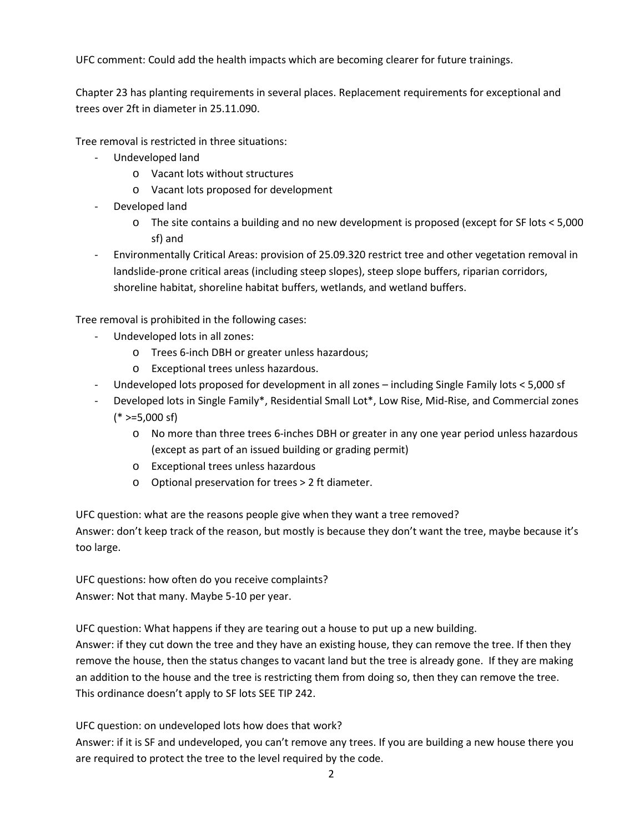UFC comment: Could add the health impacts which are becoming clearer for future trainings.

Chapter 23 has planting requirements in several places. Replacement requirements for exceptional and trees over 2ft in diameter in 25.11.090.

Tree removal is restricted in three situations:

- Undeveloped land
	- o Vacant lots without structures
	- o Vacant lots proposed for development
- Developed land
	- o The site contains a building and no new development is proposed (except for SF lots < 5,000 sf) and
- Environmentally Critical Areas: provision of 25.09.320 restrict tree and other vegetation removal in landslide-prone critical areas (including steep slopes), steep slope buffers, riparian corridors, shoreline habitat, shoreline habitat buffers, wetlands, and wetland buffers.

Tree removal is prohibited in the following cases:

- Undeveloped lots in all zones:
	- o Trees 6-inch DBH or greater unless hazardous;
	- o Exceptional trees unless hazardous.
- Undeveloped lots proposed for development in all zones including Single Family lots < 5,000 sf
- Developed lots in Single Family\*, Residential Small Lot\*, Low Rise, Mid-Rise, and Commercial zones  $(* >=5,000 \text{ sf})$ 
	- o No more than three trees 6-inches DBH or greater in any one year period unless hazardous (except as part of an issued building or grading permit)
	- o Exceptional trees unless hazardous
	- o Optional preservation for trees > 2 ft diameter.

UFC question: what are the reasons people give when they want a tree removed? Answer: don't keep track of the reason, but mostly is because they don't want the tree, maybe because it's too large.

UFC questions: how often do you receive complaints? Answer: Not that many. Maybe 5-10 per year.

UFC question: What happens if they are tearing out a house to put up a new building. Answer: if they cut down the tree and they have an existing house, they can remove the tree. If then they remove the house, then the status changes to vacant land but the tree is already gone. If they are making an addition to the house and the tree is restricting them from doing so, then they can remove the tree. This ordinance doesn't apply to SF lots SEE TIP 242.

UFC question: on undeveloped lots how does that work?

Answer: if it is SF and undeveloped, you can't remove any trees. If you are building a new house there you are required to protect the tree to the level required by the code.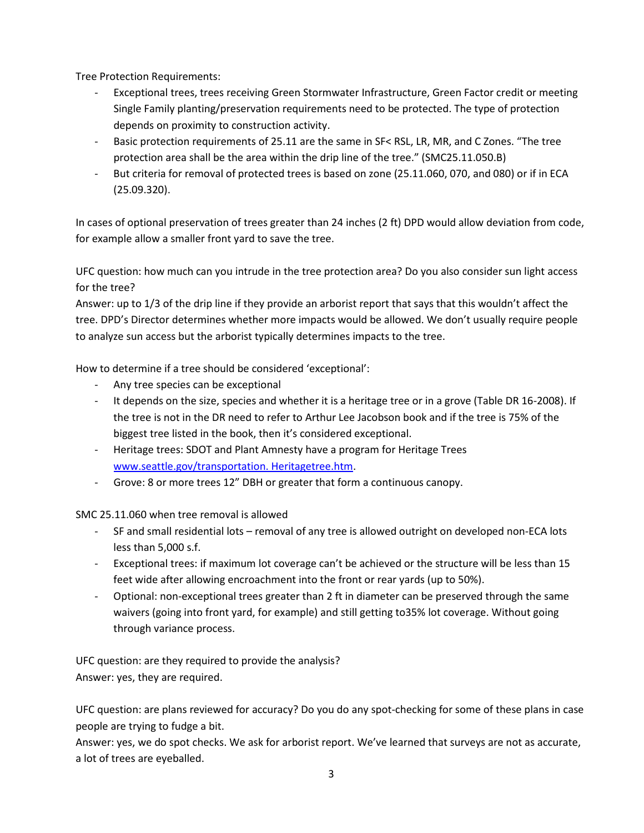Tree Protection Requirements:

- Exceptional trees, trees receiving Green Stormwater Infrastructure, Green Factor credit or meeting Single Family planting/preservation requirements need to be protected. The type of protection depends on proximity to construction activity.
- Basic protection requirements of 25.11 are the same in SF< RSL, LR, MR, and C Zones. "The tree protection area shall be the area within the drip line of the tree." (SMC25.11.050.B)
- But criteria for removal of protected trees is based on zone (25.11.060, 070, and 080) or if in ECA (25.09.320).

In cases of optional preservation of trees greater than 24 inches (2 ft) DPD would allow deviation from code, for example allow a smaller front yard to save the tree.

UFC question: how much can you intrude in the tree protection area? Do you also consider sun light access for the tree?

Answer: up to 1/3 of the drip line if they provide an arborist report that says that this wouldn't affect the tree. DPD's Director determines whether more impacts would be allowed. We don't usually require people to analyze sun access but the arborist typically determines impacts to the tree.

How to determine if a tree should be considered 'exceptional':

- Any tree species can be exceptional
- It depends on the size, species and whether it is a heritage tree or in a grove (Table DR 16-2008). If the tree is not in the DR need to refer to Arthur Lee Jacobson book and if the tree is 75% of the biggest tree listed in the book, then it's considered exceptional.
- Heritage trees: SDOT and Plant Amnesty have a program for Heritage Trees [www.seattle.gov/transportation. Heritagetree.htm.](http://www.seattle.gov/transportation.%20Heritagetree.htm)
- Grove: 8 or more trees 12" DBH or greater that form a continuous canopy.

SMC 25.11.060 when tree removal is allowed

- SF and small residential lots removal of any tree is allowed outright on developed non-ECA lots less than 5,000 s.f.
- Exceptional trees: if maximum lot coverage can't be achieved or the structure will be less than 15 feet wide after allowing encroachment into the front or rear yards (up to 50%).
- Optional: non-exceptional trees greater than 2 ft in diameter can be preserved through the same waivers (going into front yard, for example) and still getting to35% lot coverage. Without going through variance process.

UFC question: are they required to provide the analysis? Answer: yes, they are required.

UFC question: are plans reviewed for accuracy? Do you do any spot-checking for some of these plans in case people are trying to fudge a bit.

Answer: yes, we do spot checks. We ask for arborist report. We've learned that surveys are not as accurate, a lot of trees are eyeballed.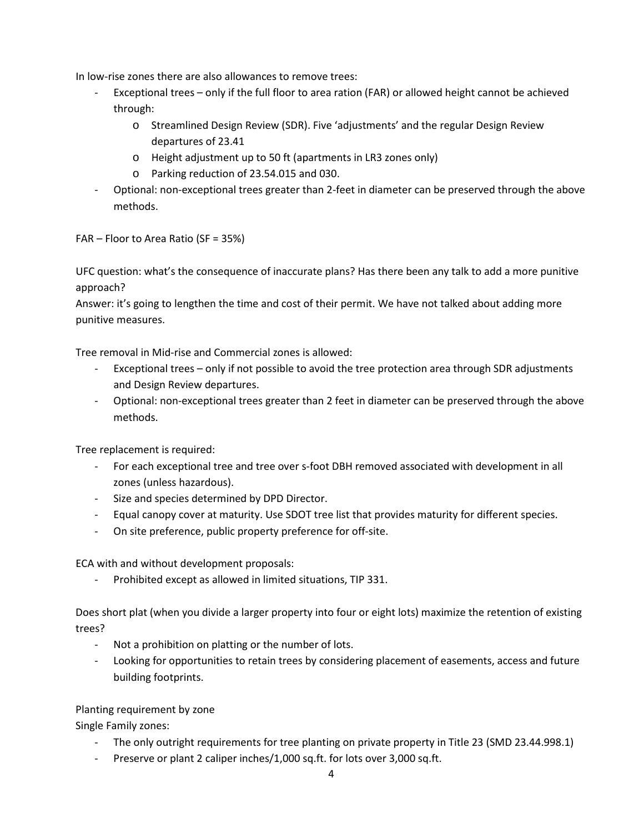In low-rise zones there are also allowances to remove trees:

- Exceptional trees only if the full floor to area ration (FAR) or allowed height cannot be achieved through:
	- o Streamlined Design Review (SDR). Five 'adjustments' and the regular Design Review departures of 23.41
	- o Height adjustment up to 50 ft (apartments in LR3 zones only)
	- o Parking reduction of 23.54.015 and 030.
- Optional: non-exceptional trees greater than 2-feet in diameter can be preserved through the above methods.

FAR – Floor to Area Ratio (SF = 35%)

UFC question: what's the consequence of inaccurate plans? Has there been any talk to add a more punitive approach?

Answer: it's going to lengthen the time and cost of their permit. We have not talked about adding more punitive measures.

Tree removal in Mid-rise and Commercial zones is allowed:

- Exceptional trees only if not possible to avoid the tree protection area through SDR adjustments and Design Review departures.
- Optional: non-exceptional trees greater than 2 feet in diameter can be preserved through the above methods.

Tree replacement is required:

- For each exceptional tree and tree over s-foot DBH removed associated with development in all zones (unless hazardous).
- Size and species determined by DPD Director.
- Equal canopy cover at maturity. Use SDOT tree list that provides maturity for different species.
- On site preference, public property preference for off-site.

ECA with and without development proposals:

- Prohibited except as allowed in limited situations, TIP 331.

Does short plat (when you divide a larger property into four or eight lots) maximize the retention of existing trees?

- Not a prohibition on platting or the number of lots.
- Looking for opportunities to retain trees by considering placement of easements, access and future building footprints.

## Planting requirement by zone

Single Family zones:

- The only outright requirements for tree planting on private property in Title 23 (SMD 23.44.998.1)
- Preserve or plant 2 caliper inches/1,000 sq.ft. for lots over 3,000 sq.ft.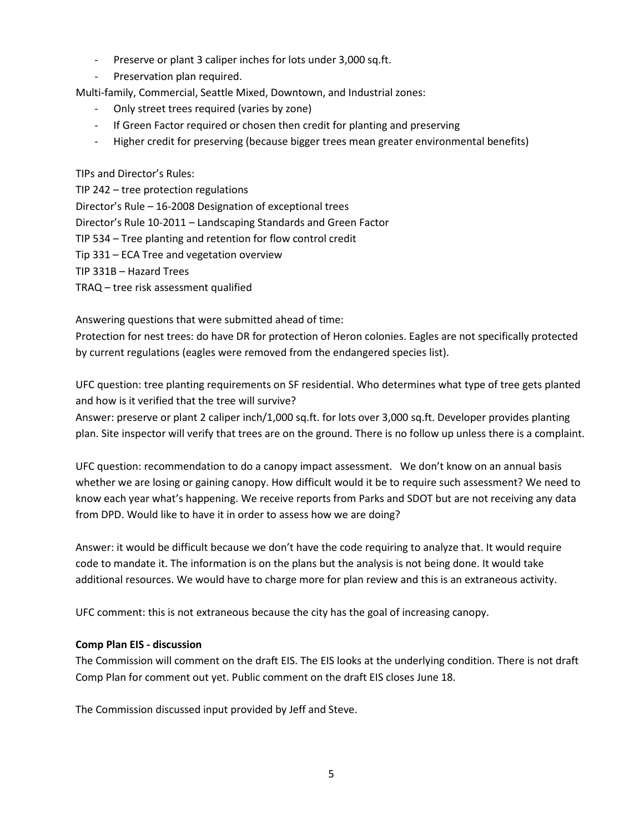- Preserve or plant 3 caliper inches for lots under 3,000 sq.ft.
- Preservation plan required.

Multi-family, Commercial, Seattle Mixed, Downtown, and Industrial zones:

- Only street trees required (varies by zone)
- If Green Factor required or chosen then credit for planting and preserving
- Higher credit for preserving (because bigger trees mean greater environmental benefits)

TIPs and Director's Rules:

TIP 242 – tree protection regulations Director's Rule – 16-2008 Designation of exceptional trees Director's Rule 10-2011 – Landscaping Standards and Green Factor TIP 534 – Tree planting and retention for flow control credit Tip 331 – ECA Tree and vegetation overview TIP 331B – Hazard Trees TRAQ – tree risk assessment qualified

Answering questions that were submitted ahead of time:

Protection for nest trees: do have DR for protection of Heron colonies. Eagles are not specifically protected by current regulations (eagles were removed from the endangered species list).

UFC question: tree planting requirements on SF residential. Who determines what type of tree gets planted and how is it verified that the tree will survive?

Answer: preserve or plant 2 caliper inch/1,000 sq.ft. for lots over 3,000 sq.ft. Developer provides planting plan. Site inspector will verify that trees are on the ground. There is no follow up unless there is a complaint.

UFC question: recommendation to do a canopy impact assessment. We don't know on an annual basis whether we are losing or gaining canopy. How difficult would it be to require such assessment? We need to know each year what's happening. We receive reports from Parks and SDOT but are not receiving any data from DPD. Would like to have it in order to assess how we are doing?

Answer: it would be difficult because we don't have the code requiring to analyze that. It would require code to mandate it. The information is on the plans but the analysis is not being done. It would take additional resources. We would have to charge more for plan review and this is an extraneous activity.

UFC comment: this is not extraneous because the city has the goal of increasing canopy.

## **Comp Plan EIS - discussion**

The Commission will comment on the draft EIS. The EIS looks at the underlying condition. There is not draft Comp Plan for comment out yet. Public comment on the draft EIS closes June 18.

The Commission discussed input provided by Jeff and Steve.